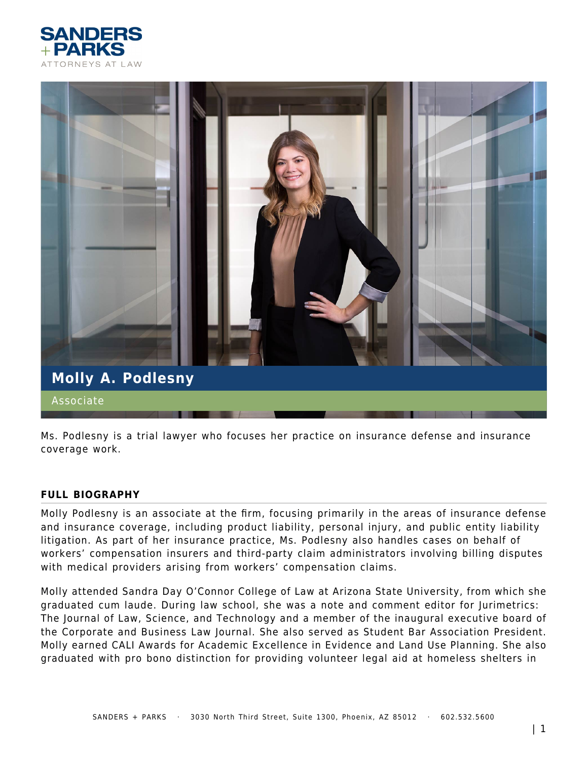



Ms. Podlesny is a trial lawyer who focuses her practice on insurance defense and insurance coverage work.

#### **FULL BIOGRAPHY**

Molly Podlesny is an associate at the firm, focusing primarily in the areas of insurance defense and insurance coverage, including product liability, personal injury, and public entity liability litigation. As part of her insurance practice, Ms. Podlesny also handles cases on behalf of workers' compensation insurers and third-party claim administrators involving billing disputes with medical providers arising from workers' compensation claims.

Molly attended Sandra Day O'Connor College of Law at Arizona State University, from which she graduated cum laude. During law school, she was a note and comment editor for Jurimetrics: The Journal of Law, Science, and Technology and a member of the inaugural executive board of the Corporate and Business Law Journal. She also served as Student Bar Association President. Molly earned CALI Awards for Academic Excellence in Evidence and Land Use Planning. She also graduated with pro bono distinction for providing volunteer legal aid at homeless shelters in